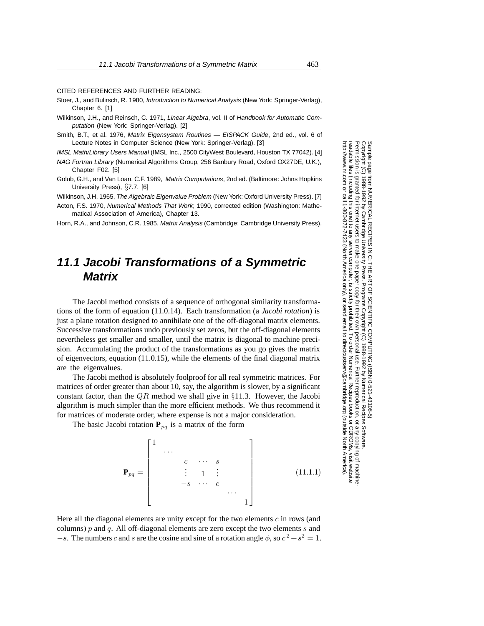CITED REFERENCES AND FURTHER READING:

- Stoer, J., and Bulirsch, R. 1980, Introduction to Numerical Analysis (New York: Springer-Verlag), Chapter 6. [1]
- Wilkinson, J.H., and Reinsch, C. 1971, Linear Algebra, vol. II of Handbook for Automatic Computation (New York: Springer-Verlag). [2]
- Smith, B.T., et al. 1976, Matrix Eigensystem Routines EISPACK Guide, 2nd ed., vol. 6 of Lecture Notes in Computer Science (New York: Springer-Verlag). [3]

IMSL Math/Library Users Manual (IMSL Inc., 2500 CityWest Boulevard, Houston TX 77042). [4]

- NAG Fortran Library (Numerical Algorithms Group, 256 Banbury Road, Oxford OX27DE, U.K.), Chapter F02. [5]
- Golub, G.H., and Van Loan, C.F. 1989, Matrix Computations, 2nd ed. (Baltimore: Johns Hopkins University Press), §7.7. [6]

Wilkinson, J.H. 1965, The Algebraic Eigenvalue Problem (New York: Oxford University Press). [7]

Acton, F.S. 1970, Numerical Methods That Work; 1990, corrected edition (Washington: Mathematical Association of America), Chapter 13.

Horn, R.A., and Johnson, C.R. 1985, Matrix Analysis (Cambridge: Cambridge University Press).

## **11.1 Jacobi Transformations of a Symmetric Matrix**

The Jacobi method consists of a sequence of orthogonal similarity transformations of the form of equation (11.0.14). Each transformation (a *Jacobi rotation*) is just a plane rotation designed to annihilate one of the off-diagonal matrix elements. Successive transformations undo previously set zeros, but the off-diagonal elements nevertheless get smaller and smaller, until the matrix is diagonal to machine precision. Accumulating the product of the transformations as you go gives the matrix of eigenvectors, equation (11.0.15), while the elements of the final diagonal matrix are the eigenvalues.

The Jacobi method is absolutely foolproof for all real symmetric matrices. For matrices of order greater than about 10, say, the algorithm is slower, by a significant constant factor, than the  $QR$  method we shall give in §11.3. However, the Jacobi algorithm is much simpler than the more efficient methods. We thus recommend it for matrices of moderate order, where expense is not a major consideration.

The basic Jacobi rotation  $P_{pq}$  is a matrix of the form

$$
\mathbf{P}_{pq} = \begin{bmatrix} 1 & & & & & & & \\ & \cdots & & & & & & \\ & & c & \cdots & s & & \\ & & & \vdots & 1 & \vdots & & \\ & & & -s & \cdots & c & & \\ & & & & & \cdots & \\ & & & & & & 1 \end{bmatrix}
$$
 (11.1.1)

Here all the diagonal elements are unity except for the two elements  $c$  in rows (and columns)  $p$  and  $q$ . All off-diagonal elements are zero except the two elements  $s$  and  $-s$ . The numbers c and s are the cosine and sine of a rotation angle  $\phi$ , so  $c^2 + s^2 = 1$ .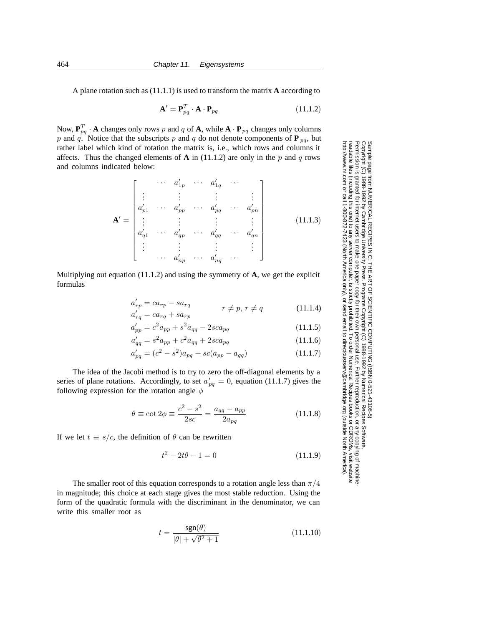A plane rotation such as (11.1.1) is used to transform the matrix **A** according to

$$
\mathbf{A}' = \mathbf{P}_{pq}^T \cdot \mathbf{A} \cdot \mathbf{P}_{pq} \tag{11.1.2}
$$

Now,  $\mathbf{P}_{pq}^T \cdot \mathbf{A}$  changes only rows p and q of  $\mathbf{A}$ , while  $\mathbf{A} \cdot \mathbf{P}_{pq}$  changes only columns p and q. Notice that the subscripts p and q do not denote components of  $P_{pq}$ , but rather label which kind of rotation the matrix is, i.e., which rows and columns it affects. Thus the changed elements of  $\bf{A}$  in (11.1.2) are only in the p and q rows and columns indicated below:

$$
\mathbf{A}' = \begin{bmatrix} & \cdots & a'_{1p} & \cdots & a'_{1q} & \cdots \\ \vdots & & \vdots & & \vdots & & \vdots \\ a'_{p1} & \cdots & a'_{pp} & \cdots & a'_{pq} & \cdots & a'_{pn} \\ \vdots & & \vdots & & \vdots & & \vdots \\ a'_{q1} & \cdots & a'_{qp} & \cdots & a'_{qq} & \cdots & a'_{qn} \\ \vdots & & \vdots & & \vdots & & \vdots \\ \cdots & a'_{np} & \cdots & a'_{nq} & \cdots & \vdots \end{bmatrix}
$$
 (11.1.3)

Multiplying out equation (11.1.2) and using the symmetry of **A**, we get the explicit formulas

$$
a'_{rp} = ca_{rp} - sa_{rq}
$$
  
\n
$$
a'_{rq} = ca_{rq} + sa_{rp}
$$
  
\n
$$
r \neq p, r \neq q
$$
\n(11.1.4)

Permission is granted for internet users to make one paper copy for their own personal use. Further reproduction, or any copyin

computer, is strictly prohibited. To order Numerical Recipes books

or send email to directcustserv@cambridge.org (outside North America).

Programs Copyright (C) 1988-1992 by Numerical Recipes Software.

1988-1992 by Numerical Recipes Software

g of machine-

or CDROMs, visit website

Copyright (C) 1988-1992 by Cambridge University Press.

 $1 - 8861$ 

Sample page t<br>Copyright (C)

readable files (including this one) to any server

http://www.nr.com or call 1-800-872-7423 (North America only),

992 by Cambridge University Press. Programs Copyright (C)

Sample page from NUMERICAL RECIPES IN C: THE ART OF SCIENTIFIC COMPUTING (ISBN 0-521-43108-5)

irom NUMERICAL RECIPES IN C. THE ART OF SCIENTIFIC COMPUTING (18BN 0-531-43108-6)

$$
a'_{rq} = ca_{rq} + sa_{rp}
$$
  
\n
$$
a'_{pp} = c^2 a_{pp} + s^2 a_{qq} - 2sca_{pq}
$$
\n(11.1.5)

$$
a'_{qq} = s^2 a_{pp} + c^2 a_{qq} + 2sca_{pq}
$$
 (11.1.6)

$$
a'_{pq} = (c^2 - s^2)a_{pq} + sc(a_{pp} - a_{qq})
$$
\n(11.1.7)

The idea of the Jacobi method is to try to zero the off-diagonal elements by a series of plane rotations. Accordingly, to set  $a'_{pq} = 0$ , equation (11.1.7) gives the following expression for the rotation angle  $\phi$ following expression for the rotation angle  $\phi$ 

$$
\theta \equiv \cot 2\phi \equiv \frac{c^2 - s^2}{2sc} = \frac{a_{qq} - a_{pp}}{2a_{pq}}
$$
(11.1.8)

If we let  $t \equiv s/c$ , the definition of  $\theta$  can be rewritten

$$
t^2 + 2t\theta - 1 = 0 \tag{11.1.9}
$$

The smaller root of this equation corresponds to a rotation angle less than  $\pi/4$ in magnitude; this choice at each stage gives the most stable reduction. Using the form of the quadratic formula with the discriminant in the denominator, we can write this smaller root as

$$
t = \frac{\text{sgn}(\theta)}{|\theta| + \sqrt{\theta^2 + 1}}\tag{11.1.10}
$$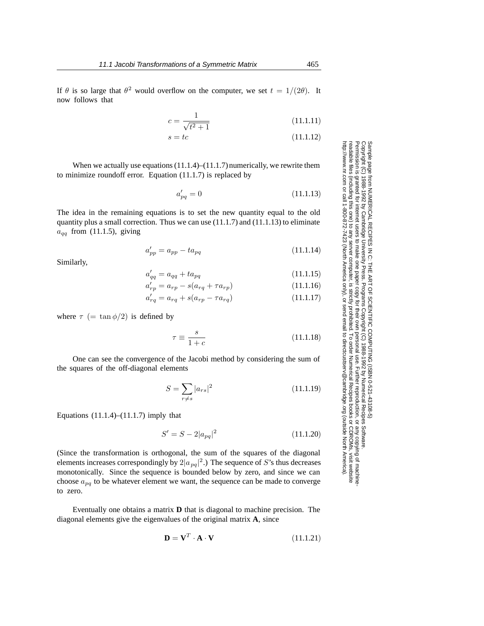$$
c = \frac{1}{\sqrt{t^2 + 1}}\tag{11.1.11}
$$
\n
$$
c = t c
$$
\n
$$
(11.1.12)
$$

$$
s = tc \tag{11.1.12}
$$

When we actually use equations  $(11.1.4)$ – $(11.1.7)$  numerically, we rewrite them to minimize roundoff error. Equation (11.1.7) is replaced by

$$
a'_{pq} = 0 \tag{11.1.13}
$$

The idea in the remaining equations is to set the new quantity equal to the old quantity plus a small correction. Thus we can use (11.1.7) and (11.1.13) to eliminate  $a_{qq}$  from (11.1.5), giving

$$
a'_{pp} = a_{pp} - ta_{pq} \tag{11.1.14}
$$

Similarly,

$$
a'_{qq} = a_{qq} + ta_{pq} \tag{11.1.15}
$$

$$
a'_{rp} = a_{rp} - s(a_{rq} + \tau a_{rp}) \tag{11.1.16}
$$

$$
a'_{rq} = a_{rq} + s(a_{rp} - \tau a_{rq}) \tag{11.1.17}
$$

where  $\tau$  (= tan  $\phi/2$ ) is defined by

$$
\tau \equiv \frac{s}{1+c} \tag{11.1.18}
$$

One can see the convergence of the Jacobi method by considering the sum of the squares of the off-diagonal elements

$$
S = \sum_{r \neq s} |a_{rs}|^2 \tag{11.1.19}
$$

Equations  $(11.1.4)$ – $(11.1.7)$  imply that

$$
S' = S - 2|a_{pq}|^2 \tag{11.1.20}
$$

(Since the transformation is orthogonal, the sum of the squares of the diagonal elements increases correspondingly by  $2|a_{pq}|^2$ .) The sequence of S's thus decreases<br>monotonically. Since the sequence is bounded below by zero, and since we can monotonically. Since the sequence is bounded below by zero, and since we can choose a*pq* to be whatever element we want, the sequence can be made to converge to zero.

Eventually one obtains a matrix **D** that is diagonal to machine precision. The diagonal elements give the eigenvalues of the original matrix **A**, since

$$
\mathbf{D} = \mathbf{V}^T \cdot \mathbf{A} \cdot \mathbf{V} \tag{11.1.21}
$$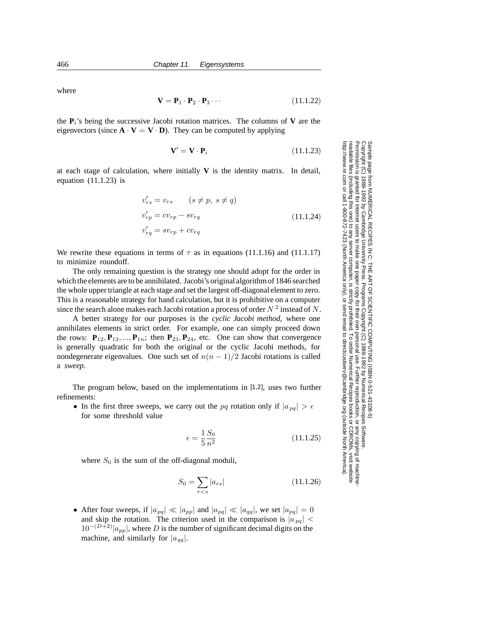where

$$
\mathbf{V} = \mathbf{P}_1 \cdot \mathbf{P}_2 \cdot \mathbf{P}_3 \cdots \tag{11.1.22}
$$

the  $P_i$ 's being the successive Jacobi rotation matrices. The columns of **V** are the eigenvectors (since  $\mathbf{A} \cdot \mathbf{V} = \mathbf{V} \cdot \mathbf{D}$ ). They can be computed by applying

$$
\mathbf{V}' = \mathbf{V} \cdot \mathbf{P}_i \tag{11.1.23}
$$

at each stage of calculation, where initially  $V$  is the identity matrix. In detail, equation  $(11.1.23)$  is

$$
v'_{rs} = v_{rs} \qquad (s \neq p, \ s \neq q)
$$
  

$$
v'_{rp} = cv_{rp} - sv_{rq}
$$
  

$$
v'_{rq} = sv_{rp} + cv_{rq}
$$
  
(11.1.24)

We rewrite these equations in terms of  $\tau$  as in equations (11.1.16) and (11.1.17) to minimize roundoff.

The only remaining question is the strategy one should adopt for the order in which the elements are to be annihilated. Jacobi's original algorithm of 1846 searched the whole upper triangle at each stage and set the largest off-diagonal element to zero. This is a reasonable strategy for hand calculation, but it is prohibitive on a computer since the search alone makes each Jacobi rotation a process of order  $N^2$  instead of N.

A better strategy for our purposes is the *cyclic Jacobi method*, where one annihilates elements in strict order. For example, one can simply proceed down the rows:  $P_{12}, P_{13}, ..., P_{1n}$ ; then  $P_{23}, P_{24}$ , etc. One can show that convergence is generally quadratic for both the original or the cyclic Jacobi methods, for nondegenerate eigenvalues. One such set of  $n(n-1)/2$  Jacobi rotations is called a *sweep*.

The program below, based on the implementations in [1,2], uses two further refinements:

• In the first three sweeps, we carry out the pq rotation only if  $|a_{pq}| > \epsilon$ for some threshold value

$$
\epsilon = \frac{1}{5} \frac{S_0}{n^2} \tag{11.1.25}
$$

Permission is granted for internet users to make one paper copy for their own personal use. Further reproduction, or any copyin

computer, is strictly prohibited. To order Numerical Recipes books

or send email to directcustserv@cambridge.org (outside North America).

from NUMERICAL RECIPES IN C: THE ART OF SCIENTIFIC COMPUTING (ISBN 0-521-43108-5)<br>1988-1992 by Cambridge University Press. Programs Copyright (C) 1988-1992 by Numerical Recipes Software.

Sample page from NUMERICAL RECIPES IN C: THE ART OF SCIENTIFIC COMPUTING (ISBN 0-521-43108-5)

Programs Copyright (C) 1988-1992 by Numerical Recipes Software.

g of machine-

or CDROMs, visit website

Copyright (C) 1988-1992 by Cambridge University Press.

Sample page t<br>Copyright (C)

readable files (including this one) to any server

http://www.nr.com or call 1-800-872-7423 (North America only),

where  $S_0$  is the sum of the off-diagonal moduli,

$$
S_0 = \sum_{r < s} |a_{rs}| \tag{11.1.26}
$$

• After four sweeps, if  $|a_{pq}| \ll |a_{pp}|$  and  $|a_{pq}| \ll |a_{qq}|$ , we set  $|a_{pq}| = 0$ and skip the rotation. The criterion used in the comparison is  $|a_{pq}|$  <  $10^{-(D+2)}|a_{pp}|$ , where D is the number of significant decimal digits on the machine, and similarly for  $|a_{qq}|$ .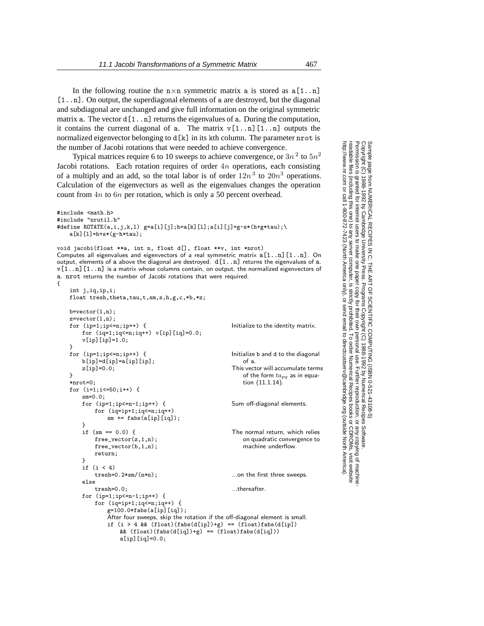In the following routine the  $n \times n$  symmetric matrix a is stored as  $a[1..n]$ [1..n]. On output, the superdiagonal elements of a are destroyed, but the diagonal and subdiagonal are unchanged and give full information on the original symmetric matrix a. The vector  $d[1 \nvert n]$  returns the eigenvalues of a. During the computation, it contains the current diagonal of a. The matrix  $v[1..n][1..n]$  outputs the normalized eigenvector belonging to  $d[k]$  in its kth column. The parameter nrot is the number of Jacobi rotations that were needed to achieve convergence.

Typical matrices require 6 to 10 sweeps to achieve convergence, or  $3n^2$  to  $5n^2$ Jacobi rotations. Each rotation requires of order  $4n$  operations, each consisting of a multiply and an add, so the total labor is of order  $12n<sup>3</sup>$  to  $20n<sup>3</sup>$  operations. Calculation of the eigenvectors as well as the eigenvalues changes the operation count from 4<sup>n</sup> to 6<sup>n</sup> per rotation, which is only a 50 percent overhead.

```
#include <math.h>
#include "nrutil.h"
#define ROTATE(a, i, j, k, l) g=a[i][j]; h=a[k][1]; a[i][j]=g-s*(h+g*tau); \a[k][1]=h+s*(g-h*tau);
```
int j,iq,ip,i;

void jacobi(float \*\*a, int n, float d[], float \*\*v, int \*nrot) Computes all eigenvalues and eigenvectors of a real symmetric matrix  $a[1..n][1..n]$ . On output, elements of a above the diagonal are destroyed.  $d[1..n]$  returns the eigenvalues of a. v[1..n][1..n] is a matrix whose columns contain, on output, the normalized eigenvectors of a. nrot returns the number of Jacobi rotations that were required. {

```
float tresh, theta, tau, t, sm, s, h, g, c, *b, *z;
b=vector(1,n):
z=vector(1,n);<br>for (ip=1;ip<=n;ip++) {
                                                  Initialize to the identity matrix.
   for (iq=1; iq<=n; iq++) v[ip][iq]=0.0;v[ip][ip]=1.0;}<br>for (ip=1;ip<=n;ip++) {
                                                  Initialize b and d to the diagonal of a.
   b[ip] = d[ip] = a[ip][ip];z[ip] = 0.0; This vector will accumulate terms
                                                      of the form ta_{pq} as in equa-
                                                      tion (11.1.14).
}
*nrot=0;
for (i=1;i<=50;i++) {
    sm=0.0;
   for (ip=1;ip<=n-1;ip++) { Sum off-diagonal elements.
       for (iq=ip+1;iq<=n;iq++)
           sm += fabs(a[ip][iq]);
    }
    if (sm == 0.0) { The normal return, which relies
                                                      on quadratic convergence to
                                                      machine underflow.
       free\_vector(z,1,n);free_vector(b,1,n);
       return;
    }
    if (i < 4)<br>tresh=0.2*sm/(n*n);
                                                  ...on the first three sweeps.
    else
        tresh=0.0; https://www.industresh-0.0;
   for (ip=1;ip<=n-1;ip++) {
       for (iq=ip+1;iq<=n;iq++) {
           g=100.0*fabs(a[ip][iq]);
           After four sweeps, skip the rotation if the off-diagonal element is small.
           if (i > 4 && (fload)(fabs(d[ip])+g) = (fload)fabs(d[ip])& (float)(fabs(d[iq])+g) == (float)fabs(d[iq]))
               a[ip][iq]=0.0;
```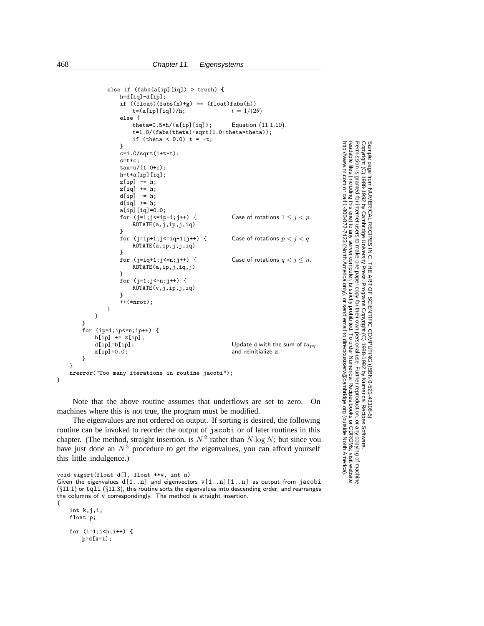```
else if (fabs(a[ip][iq]) > tresh) {
                  h=d[iq]-d[ip];
                  if ((\text{float})(\text{fabs}(h)+g)) = (\text{float})\text{fabs}(h))<br>t=(a[ip][iq])/h;<br>t = 1/(2\theta)t=(a[ip][iq])/h;else {
                      theta=0.5*h/(a[ip][iq]); Equation (11.1.10).
                      t=1.0/(fabs(theta)+sqrt(1.0+theta*theta));
                      if (theta <0.0) t = -t;
                  }
                  c=1.0/sqrt(1+t*t);
                  s=t*c;
                  tau=s/(1.0+c);
                 h=t*a[ip][iq];
                 z[ip] -= h;
                  z[iq] += h;
                  d[ip] -= h;
                  d[iq] += h;
                  a[ip][iq]=0.0;<br>for (j=1;j<=ip-1;j++) {
                                                          Case of rotations 1 \leq j < p.
                      ROTATE(a,j,ip,j,iq)
                  }
                  for (j=ip+1;j\leq-iq-1;j++) { Case of rotations p < j < q.
                      ROTATE(a,ip,j,j,iq)
                  }<br>for (j=iq+1;j<=n;j++) {
                                                          Case of rotations q < j \leq n.
                      ROTATE(a,ip,j,iq,j)
                  }
                  for (j=1; j<=n; j++) {
                      ROTATE(v,j,ip,j,iq)
                  }
                  ++(*nrot);
             }
        }
    }
    for (ip=1;ip<=n;ip++) {
        b[ip] += z[ip];<br>d[ip]=b[ip];
         d[ip]=b[ip]; Update d with the sum of ta_{pq},<br>z[ip]=0.0; and reinitialize z.
                                                          and reinitialize z.
    }
}
nrerror("Too many iterations in routine jacobi");
```
Permission is granted for internet users to make one paper copy for their own personal use. Further reproduction, or any copyin

computer, is strictly prohibited. To order Numerical Recipes books

or send email to directcustserv@cambridge.org (outside North America).

Sample page from NUMERICAL RECIPES IN C: THE ART OF SCIENTIFIC COMPUTING (ISBN 0-521-43108-5)

Programs Copyright (C) 1988-1992 by Numerical Recipes Software.

g of machine-

or CDROMs, visit website

Copyright (C) 1988-1992 by Cambridge University Press.

readable files (including this one) to any server

http://www.nr.com or call 1-800-872-7423 (North America only),

Note that the above routine assumes that underflows are set to zero. On machines where this is not true, the program must be modified.

The eigenvalues are not ordered on output. If sorting is desired, the following routine can be invoked to reorder the output of jacobi or of later routines in this chapter. (The method, straight insertion, is  $N^2$  rather than N log N; but since you have just done an  $N<sup>3</sup>$  procedure to get the eigenvalues, you can afford yourself this little indulgence.)

```
void eigsrt(float d[], float **v, int n)
```
Given the eigenvalues  $d[1..n]$  and eigenvectors  $v[1..n][1..n]$  as output from jacobi  $(\S11.1)$  or tqli  $(\S11.3)$ , this routine sorts the eigenvalues into descending order, and rearranges the columns of v correspondingly. The method is straight insertion. {

```
int k,j,i;
float p;
for (i=1;i<n;i++) {
   p=d[k=i];
```
}